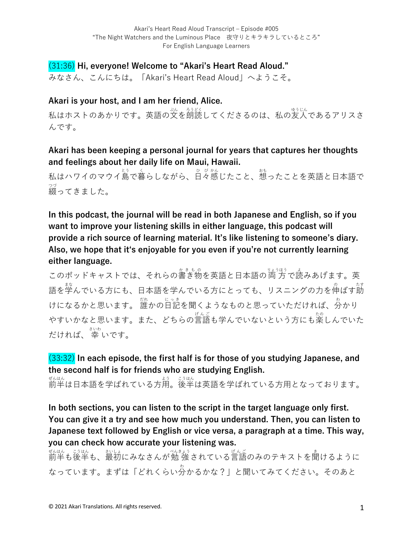# (31:36) **Hi, everyone! Welcome to "Akari's Heart Read Aloud."**

みなさん、こんにちは。「Akari's Heart Read Aloud」へようこそ。

### **Akari is your host, and I am her friend, Alice.**

私はホストのあかりです。英語の文を朗読してくださるのは、私の友人であるアリスさ んです。

## **Akari has been keeping a personal journal for years that captures her thoughts and feelings about her daily life on Maui, Hawaii.**

私はハワイのマウイ島で暮らしながら、日々感じたこと、想ったことを英語と日本語で 綴 つづ ってきました。

**In this podcast, the journal will be read in both Japanese and English, so if you want to improve your listening skills in either language, this podcast will provide a rich source of learning material. It's like listening to someone's diary. Also, we hope that itʻs enjoyable for you even if you're not currently learning either language.**

このポッドキャストでは、それらの書き物を英語と日本語の両方で読みあげます。英 語を学んでいる方にも、日本語を学んでいる方にとっても、リスニングの力を伸ばす莇 けになるかと思います。 誰かの旨記を聞くようなものと思っていただければ、分かり やすいかなと思います。また、どちらの言語も学んでいないという方にも楽しんでいた だければ、 幸 さいわ いです。

# (33:32) **In each episode, the first half is for those of you studying Japanese, and the second half is for friends who are studying English.**

ぜんはん<br>前半は日本語を学ばれている方用。後半は英語を学ばれている方用となっております。

**In both sections, you can listen to the script in the target language only first. You can give it a try and see how much you understand. Then, you can listen to Japanese text followed by English or vice versa, a paragraph at a time. This way, you can check how accurate your listening was.**

ぜんはん。 ジはん、 おいはん ぶんこう きんこう しんごう あいしょう きょういんはん こうはん こうはん なっています。まずは「どれくらい分 わ かるかな?」と聞いてみてください。そのあと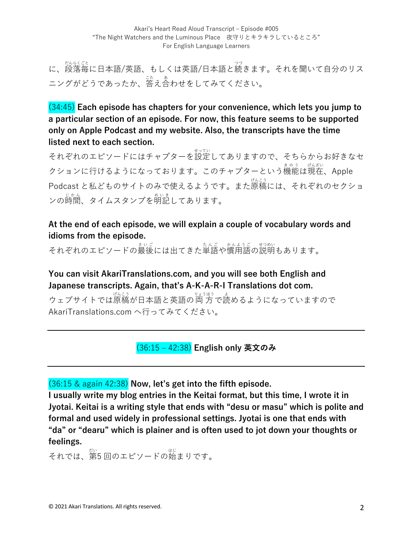に、<sub>段落年に日本語/英語、もしくは英語/日本語と続きます。それを聞いて自分のリス</sub> ニングがどうであったか、答え合わせをしてみてください。

(34:45) **Each episode has chapters for your convenience, which lets you jump to a particular section of an episode. For now, this feature seems to be supported only on Apple Podcast and my website. Also, the transcripts have the time listed next to each section.**

それぞれのエピソードにはチャプターを設定してありますので、そちらからお好きなセ クションに行けるようになっております。このチャプターという機能は現在、Apple Podcast と私どものサイトのみで使えるようです。また原稿 げんこう には、それぞれのセクショ <sub>ンの時間、タイムスタンプを明記してあります。</sub>

# **At the end of each episode, we will explain a couple of vocabulary words and idioms from the episode.**

それぞれのエピソードの最後には出てきた単語や慣用語の説明もあります。

**You can visit AkariTranslations.com, and you will see both English and Japanese transcripts. Again, that's A-K-A-R-I Translations dot com.**

ウェブサイトでは原稿が日本語と英語の両方で読めるようになっていますので AkariTranslations.com へ行ってみてください。

(36:15 ‒ 42:38) **English only 英⽂のみ**

(36:15 & again 42:38) **Now, let's get into the fifth episode.**

**I usually write my blog entries in the Keitai format, but this time, I wrote it in Jyotai. Keitai is a writing style that ends with "desu or masu" which is polite and formal and used widely in professional settings. Jyotai is one that ends with "da" or "dearu" which is plainer and is often used to jot down your thoughts or feelings.**

それでは、第 だい 5 回のエピソードの始 はじ まりです。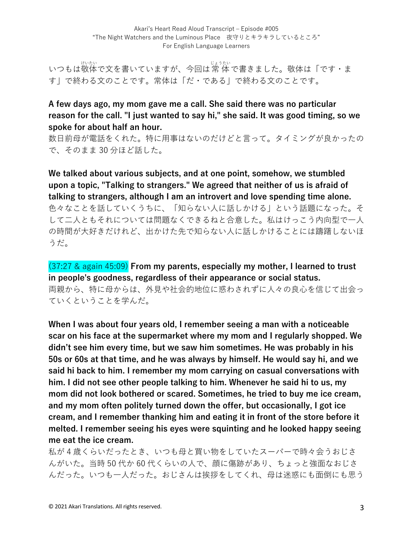いつもは敬体で文を書いていますが、今回は常 体で書きました。敬体は「です・ま す」で終わる⽂のことです。常体は「だ・である」で終わる⽂のことです。

## **A few days ago, my mom gave me a call. She said there was no particular reason for the call. "I just wanted to say hi," she said. It was good timing, so we spoke for about half an hour.**

数⽇前⺟が電話をくれた。特に⽤事はないのだけどと⾔って。タイミングが良かったの で、そのまま 30 分ほど話した。

**We talked about various subjects, and at one point, somehow, we stumbled upon a topic, "Talking to strangers." We agreed that neither of us is afraid of talking to strangers, although I am an introvert and love spending time alone.** ⾊々なことを話していくうちに、「知らない⼈に話しかける」という話題になった。そ して二人ともそれについては問題なくできるねと合意した。私はけっこう内向型で一人 の時間が大好きだけれど、出かけた先で知らない人に話しかけることには躊躇しないほ うだ。

(37:27 & again 45:09) **From my parents, especially my mother, I learned to trust in people's goodness, regardless of their appearance or social status.**  両親から、特に⺟からは、外⾒や社会的地位に惑わされずに⼈々の良⼼を信じて出会っ ていくということを学んだ。

**When I was about four years old, I remember seeing a man with a noticeable scar on his face at the supermarket where my mom and I regularly shopped. We didn't see him every time, but we saw him sometimes. He was probably in his 50s or 60s at that time, and he was always by himself. He would say hi, and we said hi back to him. I remember my mom carrying on casual conversations with him. I did not see other people talking to him. Whenever he said hi to us, my mom did not look bothered or scared. Sometimes, he tried to buy me ice cream, and my mom often politely turned down the offer, but occasionally, I got ice cream, and I remember thanking him and eating it in front of the store before it melted. I remember seeing his eyes were squinting and he looked happy seeing me eat the ice cream.** 

私が4歳くらいだったとき、いつも母と買い物をしていたスーパーで時々会うおじさ んがいた。当時 50 代か 60 代くらいの⼈で、顔に傷跡があり、ちょっと強⾯なおじさ んだった。いつも一人だった。おじさんは挨拶をしてくれ、母は迷惑にも面倒にも思う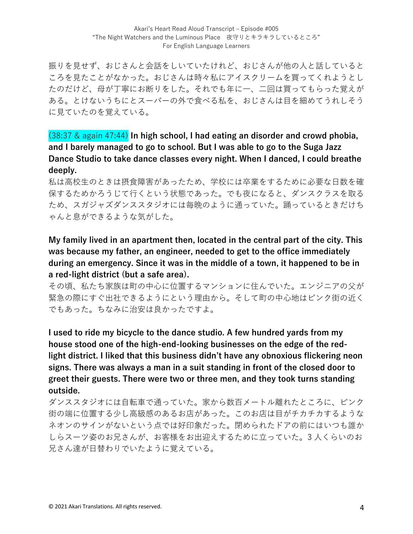振りを見せず、おじさんと会話をしいていたけれど、おじさんが他の人と話していると ころを見たことがなかった。おじさんは時々私にアイスクリームを買ってくれようとし たのだけど、母が丁寧にお断りをした。それでも年に一、二回は買ってもらった覚えが ある。とけないうちにとスーパーの外で⾷べる私を、おじさんは⽬を細めてうれしそう に⾒ていたのを覚えている。

(38:37 & again 47:44) **In high school, I had eating an disorder and crowd phobia, and I barely managed to go to school. But I was able to go to the Suga Jazz Dance Studio to take dance classes every night. When I danced, I could breathe deeply.**

私は高校生のときは摂食障害があったため、学校には卒業をするために必要な日数を確 保するためかろうじて⾏くという状態であった。でも夜になると、ダンスクラスを取る ため、スガジャズダンススタジオには毎晩のように通っていた。踊っているときだけち ゃんと息ができるような気がした。

**My family lived in an apartment then, located in the central part of the city. This was because my father, an engineer, needed to get to the office immediately during an emergency. Since it was in the middle of a town, it happened to be in a red-light district (but a safe area).** 

その頃、私たち家族は町の中心に位置するマンションに住んでいた。エンジニアの父が 緊急の際にすぐ出社できるようにという理由から。そして町の中心地はピンク街の近く でもあった。ちなみに治安は良かったですよ。

**I used to ride my bicycle to the dance studio. A few hundred yards from my house stood one of the high-end-looking businesses on the edge of the redlight district. I liked that this business didn't have any obnoxious flickering neon signs. There was always a man in a suit standing in front of the closed door to greet their guests. There were two or three men, and they took turns standing outside.** 

ダンススタジオには自転車で通っていた。家から数百メートル離れたところに、ピンク 街の端に位置する少し⾼級感のあるお店があった。このお店は⽬がチカチカするような ネオンのサインがないという点では好印象だった。閉められたドアの前にはいつも誰か しらスーツ姿のお兄さんが、お客様をお出迎えするために⽴っていた。3 ⼈くらいのお 兄さん達が⽇替わりでいたように覚えている。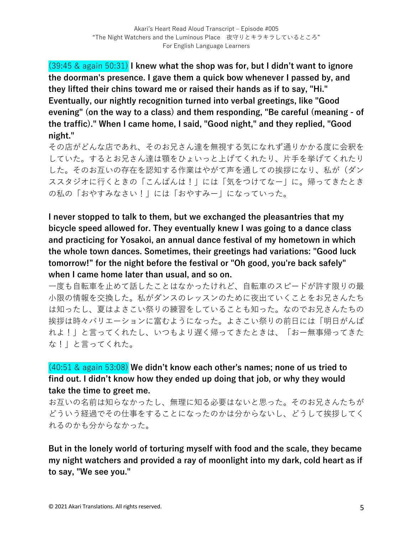(39:45 & again 50:31) **I knew what the shop was for, but I didn't want to ignore the doorman's presence. I gave them a quick bow whenever I passed by, and they lifted their chins toward me or raised their hands as if to say, "Hi." Eventually, our nightly recognition turned into verbal greetings, like "Good evening" (on the way to a class) and them responding, "Be careful (meaning - of the traffic)." When I came home, I said, "Good night," and they replied, "Good night."** 

その店がどんな店であれ、そのお兄さん達を無視する気になれず通りかかる度に会釈を していた。するとお兄さん達は顎をひょいっと上げてくれたり、片手を挙げてくれたり した。そのお互いの存在を認知する作業はやがて声を通しての挨拶になり、私が(ダン ススタジオに⾏くときの「こんばんは!」には「気をつけてなー」に。帰ってきたとき の私の「おやすみなさい!」には「おやすみー」になっていった。

**I never stopped to talk to them, but we exchanged the pleasantries that my bicycle speed allowed for. They eventually knew I was going to a dance class and practicing for Yosakoi, an annual dance festival of my hometown in which the whole town dances. Sometimes, their greetings had variations: "Good luck tomorrow!" for the night before the festival or "Oh good, you're back safely" when I came home later than usual, and so on.** 

一度も自転車を止めて話したことはなかったけれど、自転車のスピードが許す限りの最 ⼩限の情報を交換した。私がダンスのレッスンのために夜出ていくことをお兄さんたち は知ったし、夏はよさこい祭りの練習をしていることも知った。なのでお兄さんたちの 挨拶は時々バリエーションに富むようになった。よさこい祭りの前⽇には「明⽇がんば れよ!」と⾔ってくれたし、いつもより遅く帰ってきたときは、「おー無事帰ってきた な!」と⾔ってくれた。

(40:51 & again 53:08) **We didn't know each other's names; none of us tried to find out. I didn't know how they ended up doing that job, or why they would take the time to greet me.** 

お互いの名前は知らなかったし、無理に知る必要はないと思った。そのお兄さんたちが どういう経過でその仕事をすることになったのかは分からないし、どうして挨拶してく れるのかも分からなかった。

**But in the lonely world of torturing myself with food and the scale, they became my night watchers and provided a ray of moonlight into my dark, cold heart as if to say, "We see you."**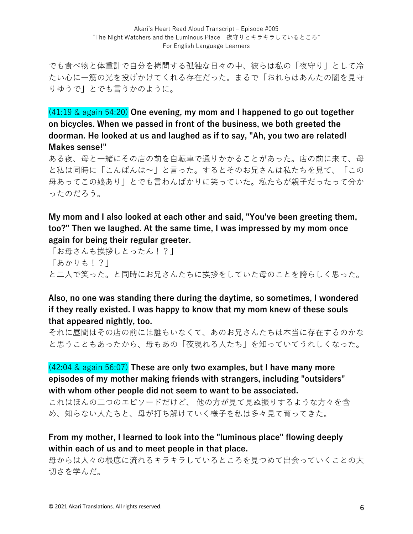でも食べ物と体重計で自分を拷問する孤独な日々の中、彼らは私の「夜守り」として冷 たい心に一筋の光を投げかけてくれる存在だった。まるで「おれらはあんたの闇を見守 りゆうで」とでも⾔うかのように。

# (41:19 & again 54:20) **One evening, my mom and I happened to go out together on bicycles. When we passed in front of the business, we both greeted the doorman. He looked at us and laughed as if to say, "Ah, you two are related! Makes sense!"**

ある夜、母と一緒にその店の前を自転車で通りかかることがあった。店の前に来て、母 と私は同時に「こんばんは〜」と⾔った。するとそのお兄さんは私たちを⾒て、「この 母あってこの娘あり」とでも言わんばかりに笑っていた。私たちが親子だったって分か ったのだろう。

# **My mom and I also looked at each other and said, "You've been greeting them, too?" Then we laughed. At the same time, I was impressed by my mom once again for being their regular greeter.**

「お⺟さんも挨拶しとったん!?」 「あかりも!?」 と⼆⼈で笑った。と同時にお兄さんたちに挨拶をしていた⺟のことを誇らしく思った。

### **Also, no one was standing there during the daytime, so sometimes, I wondered if they really existed. I was happy to know that my mom knew of these souls that appeared nightly, too.**

それに昼間はその店の前には誰もいなくて、あのお兄さんたちは本当に存在するのかな と思うこともあったから、⺟もあの「夜現れる⼈たち」を知っていてうれしくなった。

### (42:04 & again 56:07) **These are only two examples, but I have many more episodes of my mother making friends with strangers, including "outsiders" with whom other people did not seem to want to be associated.**

これはほんの二つのエピソードだけど、 他の方が見て見ぬ振りするような方々を含 め、知らない人たちと、母が打ち解けていく様子を私は多々見て育ってきた。

# **From my mother, I learned to look into the "luminous place" flowing deeply within each of us and to meet people in that place.**

母からは人々の根底に流れるキラキラしているところを見つめて出会っていくことの大 切さを学んだ。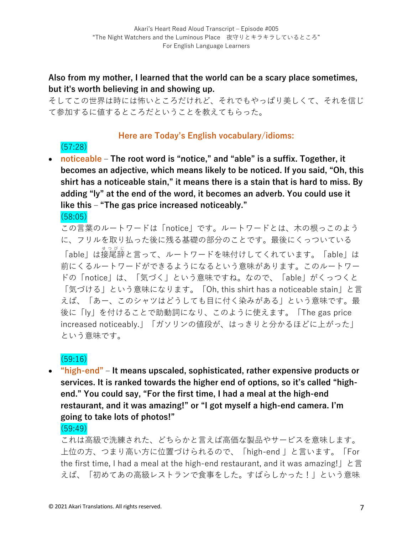## **Also from my mother, I learned that the world can be a scary place sometimes, but it's worth believing in and showing up.**

そしてこの世界は時には怖いところだけれど、それでもやっぱり美しくて、それを信じ て参加するに値するところだということを教えてもらった。

#### **Here are Today's English vocabulary/idioms:**

(57:28) • **noticeable** – The root word is "notice," and "able" is a suffix. Together, it **becomes an adjective, which means likely to be noticed. If you said, "Oh, this shirt has a noticeable stain," it means there is a stain that is hard to miss. By adding "ly" at the end of the word, it becomes an adverb. You could use it like this ‒ "The gas price increased noticeably."**

(58:05)

この言葉のルートワードは「notice」です。ルートワードとは、木の根っこのよう に、フリルを取り払った後に残る基礎の部分のことです。最後にくっついている

「able」は接尾辞 せつびじ と⾔って、ルートワードを味付けしてくれています。「able」は 前にくるルートワードができるようになるという意味があります。このルートワー ドの「notice」は、「気づく」という意味ですね。なので、「able」がくっつくと 「気づける」という意味になります。「Oh, this shirt has a noticeable stain」と⾔ えば、「あー、このシャツはどうしても⽬に付く染みがある」という意味です。最 後に「ly」を付けることで助動詞になり、このように使えます。「The gas price increased noticeably.」「ガソリンの値段が、はっきりと分かるほどに上がった」 という意味です。

(59:16)

• **"high-end" ‒ It means upscaled, sophisticated, rather expensive products or services. It is ranked towards the higher end of options, so it's called "highend." You could say, "For the first time, I had a meal at the high-end restaurant, and it was amazing!" or "I got myself a high-end camera. I'm going to take lots of photos!"** 

(59:49)

これは高級で洗練された、どちらかと言えば高価な製品やサービスを意味します。 上位の方、つまり高い方に位置づけられるので、「high-end | と言います。「For the first time, I had a meal at the high-end restaurant, and it was amazing! | と言 えば、「初めてあの⾼級レストランで⾷事をした。すばらしかった!」という意味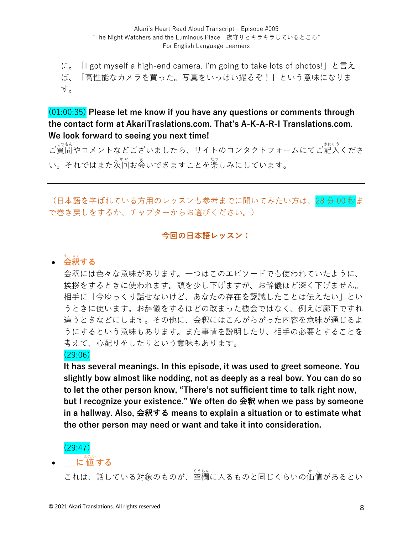に。「I got myself a high-end camera. I'm going to take lots of photos!」と⾔え ば、「⾼性能なカメラを買った。写真をいっぱい撮るぞ!」という意味になりま す。

(01:00:35) **Please let me know if you have any questions or comments through the contact form at AkariTraslations.com. That's A-K-A-R-I Translations.com. We look forward to seeing you next time!**

ご質問やコメントなどございましたら、サイトのコンタクトフォームにてご記入くださ い。それではまた次回お会いできますことを楽しみにしています。

(日本語を学ばれている方用のレッスンも参考までに聞いてみたい方は、28分00秒ま で巻き戻しをするか、チャプターからお選びください。)

#### **今回の⽇本語レッスン:**

# • **会釈** えしゃく **する**

会釈には⾊々な意味があります。⼀つはこのエピソードでも使われていたように、 挨拶をするときに使われます。頭を少し下げますが、お辞儀ほど深く下げません。 相手に「今ゆっくり話せないけど、あなたの存在を認識したことは伝えたい」とい うときに使います。お辞儀をするほどの改まった機会ではなく、例えば廊下ですれ 違うときなどにします。その他に、会釈にはこんがらがった内容を意味が通じるよ うにするという意味もあります。また事情を説明したり、相手の必要とすることを 考えて、⼼配りをしたりという意味もあります。

#### (29:06)

**It has several meanings. In this episode, it was used to greet someone. You slightly bow almost like nodding, not as deeply as a real bow. You can do so to let the other person know, "There's not sufficient time to talk right now, but I recognize your existence." We often do 会釈 when we pass by someone in a hallway. Also, 会釈する means to explain a situation or to estimate what the other person may need or want and take it into consideration.** 

#### (29:47)

• **\_\_\_に 値** あたい **する**

これは、話している対象のものが、空欄に入るものと同じくらいの<sup>かも</sup>があるとい